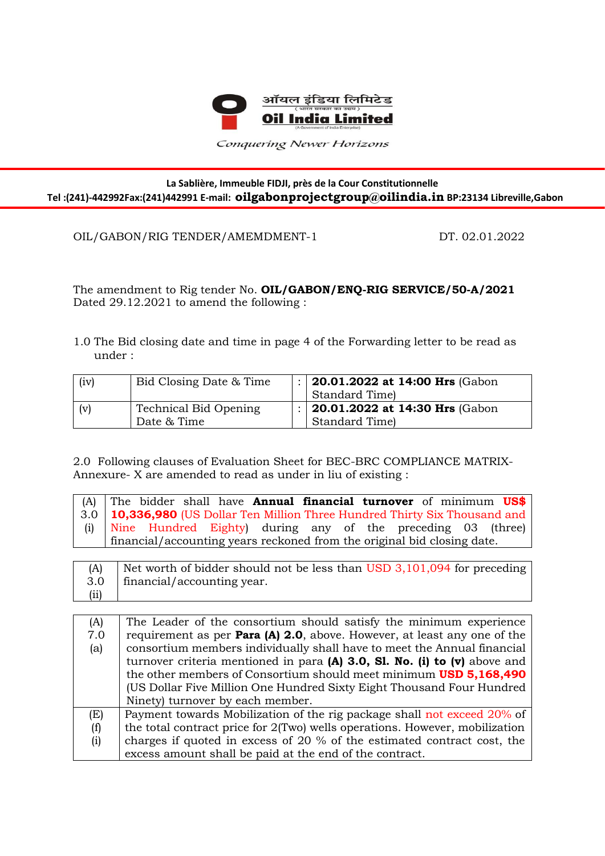

Conquering Newer Horizons

## **La Sablière, Immeuble FIDJI, près de la Cour Constitutionnelle Tel :(241)-442992Fax:(241)442991 E-mail: oilgabonprojectgroup@oilindia.in BP:23134 Libreville,Gabon**

OIL/GABON/RIG TENDER/AMEMDMENT-1 DT. 02.01.2022

Ī

The amendment to Rig tender No. **OIL/GABON/ENQ-RIG SERVICE/50-A/2021** Dated 29.12.2021 to amend the following :

1.0 The Bid closing date and time in page 4 of the Forwarding letter to be read as under :

| (iv) | Bid Closing Date & Time | 20.01.2022 at 14:00 Hrs (Gabon         |
|------|-------------------------|----------------------------------------|
|      |                         | Standard Time)                         |
| (v)  | Technical Bid Opening   | $\vert$ 20.01.2022 at 14:30 Hrs (Gabon |
|      | Date & Time             | Standard Time)                         |

2.0 Following clauses of Evaluation Sheet for BEC-BRC COMPLIANCE MATRIX-Annexure- X are amended to read as under in liu of existing :

| (A) The bidder shall have <b>Annual financial turnover</b> of minimum $US\$   |
|-------------------------------------------------------------------------------|
| 3.0   10,336,980 (US Dollar Ten Million Three Hundred Thirty Six Thousand and |
| (i) Nine Hundred Eighty) during any of the preceding 03 (three)               |
| financial/accounting years reckoned from the original bid closing date.       |



| (A) | The Leader of the consortium should satisfy the minimum experience               |
|-----|----------------------------------------------------------------------------------|
| 7.0 | requirement as per <b>Para (A) 2.0</b> , above. However, at least any one of the |
| (a) | consortium members individually shall have to meet the Annual financial          |
|     | turnover criteria mentioned in para $(A)$ 3.0, Sl. No. (i) to (v) above and      |
|     | the other members of Consortium should meet minimum USD 5,168,490                |
|     | (US Dollar Five Million One Hundred Sixty Eight Thousand Four Hundred            |
|     | Ninety) turnover by each member.                                                 |
| (E) | Payment towards Mobilization of the rig package shall not exceed 20% of          |
| (f) | the total contract price for $2$ (Two) wells operations. However, mobilization   |
| (i) | charges if quoted in excess of 20 % of the estimated contract cost, the          |
|     | excess amount shall be paid at the end of the contract.                          |